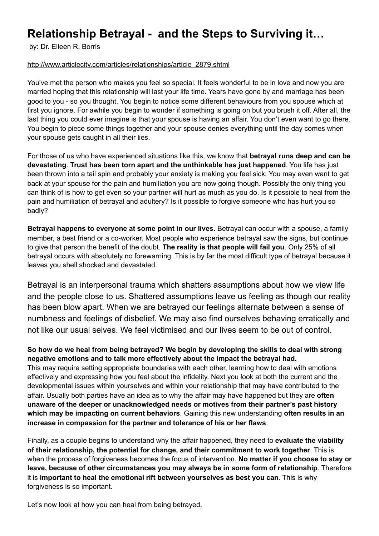# **Relationship Betrayal - and the Steps to Surviving it…**

by: Dr. Eileen R. Borris

### [http://www.articlecity.com/articles/relationships/article\\_2879.shtml](http://www.articlecity.com/articles/relationships/article_2879.shtml)

You've met the person who makes you feel so special. It feels wonderful to be in love and now you are married hoping that this relationship will last your life time. Years have gone by and marriage has been good to you - so you thought. You begin to notice some different behaviours from you spouse which at first you ignore. For awhile you begin to wonder if something is going on but you brush it off. After all, the last thing you could ever imagine is that your spouse is having an affair. You don't even want to go there. You begin to piece some things together and your spouse denies everything until the day comes when your spouse gets caught in all their lies.

For those of us who have experienced situations like this, we know that **betrayal runs deep and can be devastating**. **Trust has been torn apart and the unthinkable has just happened**. You life has just been thrown into a tail spin and probably your anxiety is making you feel sick. You may even want to get back at your spouse for the pain and humiliation you are now going though. Possibly the only thing you can think of is how to get even so your partner will hurt as much as you do. Is it possible to heal from the pain and humiliation of betrayal and adultery? Is it possible to forgive someone who has hurt you so badly?

**Betrayal happens to everyone at some point in our lives.** Betrayal can occur with a spouse, a family member, a best friend or a co-worker. Most people who experience betrayal saw the signs, but continue to give that person the benefit of the doubt. **The reality is that people will fail you**. Only 25% of all betrayal occurs with absolutely no forewarning. This is by far the most difficult type of betrayal because it leaves you shell shocked and devastated.

Betrayal is an interpersonal trauma which shatters assumptions about how we view life and the people close to us. Shattered assumptions leave us feeling as though our reality has been blow apart. When we are betrayed our feelings alternate between a sense of numbness and feelings of disbelief. We may also find ourselves behaving erratically and not like our usual selves. We feel victimised and our lives seem to be out of control.

**So how do we heal from being betrayed? We begin by developing the skills to deal with strong negative emotions and to talk more effectively about the impact the betrayal had.** This may require setting appropriate boundaries with each other, learning how to deal with emotions

effectively and expressing how you feel about the infidelity. Next you look at both the current and the developmental issues within yourselves and within your relationship that may have contributed to the affair. Usually both parties have an idea as to why the affair may have happened but they are **often unaware of the deeper or unacknowledged needs or motives from their partner's past history which may be impacting on current behaviors**. Gaining this new understanding **often results in an increase in compassion for the partner and tolerance of his or her flaws**.

Finally, as a couple begins to understand why the affair happened, they need to **evaluate the viability of their relationship, the potential for change, and their commitment to work together**. This is when the process of forgiveness becomes the focus of intervention. **No matter if you choose to stay or leave, because of other circumstances you may always be in some form of relationship**. Therefore it is **important to heal the emotional rift between yourselves as best you can**. This is why forgiveness is so important.

Let's now look at how you can heal from being betrayed.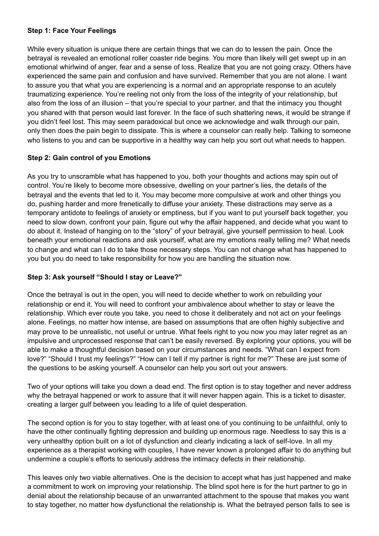## **Step 1: Face Your Feelings**

While every situation is unique there are certain things that we can do to lessen the pain. Once the betrayal is revealed an emotional roller coaster ride begins. You more than likely will get swept up in an emotional whirlwind of anger, fear and a sense of loss. Realize that you are not going crazy. Others have experienced the same pain and confusion and have survived. Remember that you are not alone. I want to assure you that what you are experiencing is a normal and an appropriate response to an acutely traumatizing experience. You're reeling not only from the loss of the integrity of your relationship, but also from the loss of an illusion – that you're special to your partner, and that the intimacy you thought you shared with that person would last forever. In the face of such shattering news, it would be strange if you didn't feel lost. This may seem paradoxical but once we acknowledge and walk through our pain, only then does the pain begin to dissipate. This is where a counselor can really help. Talking to someone who listens to you and can be supportive in a healthy way can help you sort out what needs to happen.

# **Step 2: Gain control of you Emotions**

As you try to unscramble what has happened to you, both your thoughts and actions may spin out of control. You're likely to become more obsessive, dwelling on your partner's lies, the details of the betrayal and the events that led to it. You may become more compulsive at work and other things you do, pushing harder and more frenetically to diffuse your anxiety. These distractions may serve as a temporary antidote to feelings of anxiety or emptiness, but if you want to put yourself back together, you need to slow down, confront your pain, figure out why the affair happened, and decide what you want to do about it. Instead of hanging on to the "story" of your betrayal, give yourself permission to heal. Look beneath your emotional reactions and ask yourself, what are my emotions really telling me? What needs to change and what can I do to take those necessary steps. You can not change what has happened to you but you do need to take responsibility for how you are handling the situation now.

# **Step 3: Ask yourself "Should I stay or Leave?"**

Once the betrayal is out in the open, you will need to decide whether to work on rebuilding your relationship or end it. You will need to confront your ambivalence about whether to stay or leave the relationship. Which ever route you take, you need to chose it deliberately and not act on your feelings alone. Feelings, no matter how intense, are based on assumptions that are often highly subjective and may prove to be unrealistic, not useful or untrue. What feels right to you now you may later regret as an impulsive and unprocessed response that can't be easily reversed. By exploring your options, you will be able to make a thoughtful decision based on your circumstances and needs. "What can I expect from love?" "Should I trust my feelings?" "How can I tell if my partner is right for me?" These are just some of the questions to be asking yourself. A counselor can help you sort out your answers.

Two of your options will take you down a dead end. The first option is to stay together and never address why the betrayal happened or work to assure that it will never happen again. This is a ticket to disaster, creating a larger gulf between you leading to a life of quiet desperation.

The second option is for you to stay together, with at least one of you continuing to be unfaithful, only to have the other continually fighting depression and building up enormous rage. Needless to say this is a very unhealthy option built on a lot of dysfunction and clearly indicating a lack of self-love. In all my experience as a therapist working with couples, I have never known a prolonged affair to do anything but undermine a couple's efforts to seriously address the intimacy defects in their relationship.

This leaves only two viable alternatives. One is the decision to accept what has just happened and make a commitment to work on improving your relationship. The blind spot here is for the hurt partner to go in denial about the relationship because of an unwarranted attachment to the spouse that makes you want to stay together, no matter how dysfunctional the relationship is. What the betrayed person falls to see is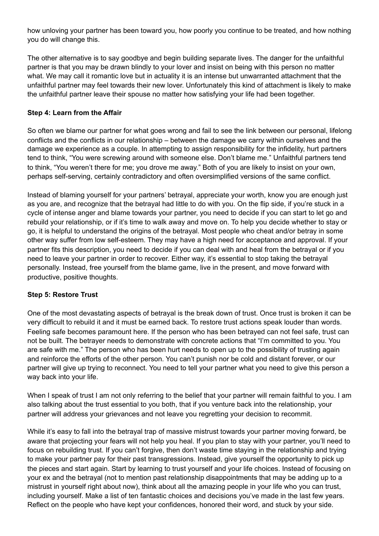how unloving your partner has been toward you, how poorly you continue to be treated, and how nothing you do will change this.

The other alternative is to say goodbye and begin building separate lives. The danger for the unfaithful partner is that you may be drawn blindly to your lover and insist on being with this person no matter what. We may call it romantic love but in actuality it is an intense but unwarranted attachment that the unfaithful partner may feel towards their new lover. Unfortunately this kind of attachment is likely to make the unfaithful partner leave their spouse no matter how satisfying your life had been together.

## **Step 4: Learn from the Affair**

So often we blame our partner for what goes wrong and fail to see the link between our personal, lifelong conflicts and the conflicts in our relationship – between the damage we carry within ourselves and the damage we experience as a couple. In attempting to assign responsibility for the infidelity, hurt partners tend to think, "You were screwing around with someone else. Don't blame me." Unfaithful partners tend to think, "You weren't there for me; you drove me away." Both of you are likely to insist on your own, perhaps self-serving, certainly contradictory and often oversimplified versions of the same conflict.

Instead of blaming yourself for your partners' betrayal, appreciate your worth, know you are enough just as you are, and recognize that the betrayal had little to do with you. On the flip side, if you're stuck in a cycle of intense anger and blame towards your partner, you need to decide if you can start to let go and rebuild your relationship, or if it's time to walk away and move on. To help you decide whether to stay or go, it is helpful to understand the origins of the betrayal. Most people who cheat and/or betray in some other way suffer from low self-esteem. They may have a high need for acceptance and approval. If your partner fits this description, you need to decide if you can deal with and heal from the betrayal or if you need to leave your partner in order to recover. Either way, it's essential to stop taking the betrayal personally. Instead, free yourself from the blame game, live in the present, and move forward with productive, positive thoughts.

#### **Step 5: Restore Trust**

One of the most devastating aspects of betrayal is the break down of trust. Once trust is broken it can be very difficult to rebuild it and it must be earned back. To restore trust actions speak louder than words. Feeling safe becomes paramount here. If the person who has been betrayed can not feel safe, trust can not be built. The betrayer needs to demonstrate with concrete actions that "I'm committed to you. You are safe with me." The person who has been hurt needs to open up to the possibility of trusting again and reinforce the efforts of the other person. You can't punish nor be cold and distant forever, or our partner will give up trying to reconnect. You need to tell your partner what you need to give this person a way back into your life.

When I speak of trust I am not only referring to the belief that your partner will remain faithful to you. I am also talking about the trust essential to you both, that if you venture back into the relationship, your partner will address your grievances and not leave you regretting your decision to recommit.

While it's easy to fall into the betrayal trap of massive mistrust towards your partner moving forward, be aware that projecting your fears will not help you heal. If you plan to stay with your partner, you'll need to focus on rebuilding trust. If you can't forgive, then don't waste time staying in the relationship and trying to make your partner pay for their past transgressions. Instead, give yourself the opportunity to pick up the pieces and start again. Start by learning to trust yourself and your life choices. Instead of focusing on your ex and the betrayal (not to mention past relationship disappointments that may be adding up to a mistrust in yourself right about now), think about all the amazing people in your life who you can trust, including yourself. Make a list of ten fantastic choices and decisions you've made in the last few years. Reflect on the people who have kept your confidences, honored their word, and stuck by your side.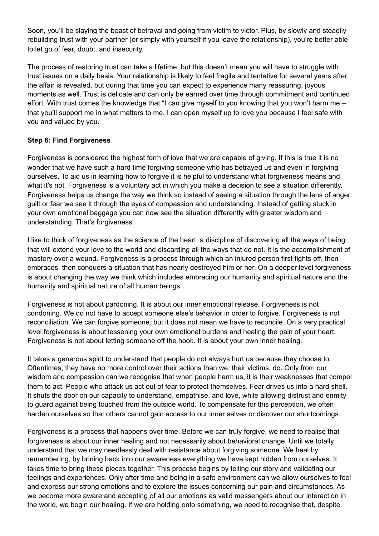Soon, you'll be slaying the beast of betrayal and going from victim to victor. Plus, by slowly and steadily rebuilding trust with your partner (or simply with yourself if you leave the relationship), you're better able to let go of fear, doubt, and insecurity.

The process of restoring trust can take a lifetime, but this doesn't mean you will have to struggle with trust issues on a daily basis. Your relationship is likely to feel fragile and tentative for several years after the affair is revealed, but during that time you can expect to experience many reassuring, joyous moments as well. Trust is delicate and can only be earned over time through commitment and continued effort. With trust comes the knowledge that "I can give myself to you knowing that you won't harm me – that you'll support me in what matters to me. I can open myself up to love you because I feel safe with you and valued by you.

## **Step 6: Find Forgiveness**

Forgiveness is considered the highest form of love that we are capable of giving. If this is true it is no wonder that we have such a hard time forgiving someone who has betrayed us and even in forgiving ourselves. To aid us in learning how to forgive it is helpful to understand what forgiveness means and what it's not. Forgiveness is a voluntary act in which you make a decision to see a situation differently. Forgiveness helps us change the way we think so instead of seeing a situation through the lens of anger, guilt or fear we see it through the eyes of compassion and understanding. Instead of getting stuck in your own emotional baggage you can now see the situation differently with greater wisdom and understanding. That's forgiveness.

I like to think of forgiveness as the science of the heart, a discipline of discovering all the ways of being that will extend your love to the world and discarding all the ways that do not. It is the accomplishment of mastery over a wound. Forgiveness is a process through which an injured person first fights off, then embraces, then conquers a situation that has nearly destroyed him or her. On a deeper level forgiveness is about changing the way we think which includes embracing our humanity and spiritual nature and the humanity and spiritual nature of all human beings.

Forgiveness is not about pardoning. It is about our inner emotional release. Forgiveness is not condoning. We do not have to accept someone else's behavior in order to forgive. Forgiveness is not reconciliation. We can forgive someone, but it does not mean we have to reconcile. On a very practical level forgiveness is about lessening your own emotional burdens and healing the pain of your heart. Forgiveness is not about letting someone off the hook. It is about your own inner healing.

It takes a generous spirit to understand that people do not always hurt us because they choose to. Oftentimes, they have no more control over their actions than we, their victims, do. Only from our wisdom and compassion can we recognise that when people harm us, it is their weaknesses that compel them to act. People who attack us act out of fear to protect themselves. Fear drives us into a hard shell. It shuts the door on our capacity to understand, empathise, and love, while allowing distrust and enmity to guard against being touched from the outside world. To compensate for this perception, we often harden ourselves so that others cannot gain access to our inner selves or discover our shortcomings.

Forgiveness is a process that happens over time. Before we can truly forgive, we need to realise that forgiveness is about our inner healing and not necessarily about behavioral change. Until we totally understand that we may needlessly deal with resistance about forgiving someone. We heal by remembering, by brining back into our awareness everything we have kept hidden from ourselves. It takes time to bring these pieces together. This process begins by telling our story and validating our feelings and experiences. Only after time and being in a safe environment can we allow ourselves to feel and express our strong emotions and to explore the issues concerning our pain and circumstances. As we become more aware and accepting of all our emotions as valid messengers about our interaction in the world, we begin our healing. If we are holding onto something, we need to recognise that, despite